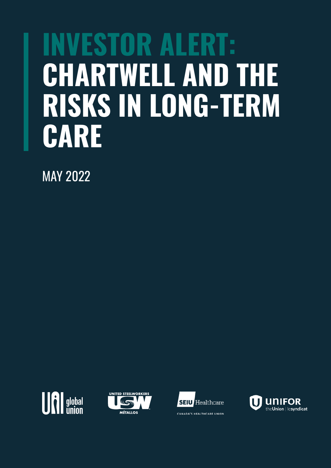# **INVESTOR ALERT: CHARTWELL AND THE RISKS IN LONG-TERM CARE**

MAY 2022







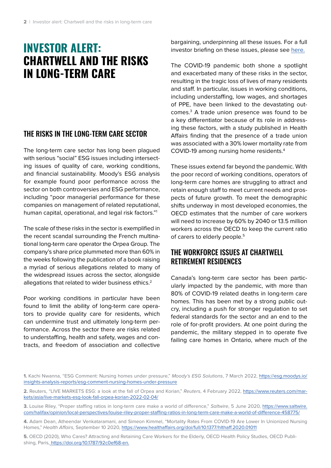## **INVESTOR ALERT: CHARTWELL AND THE RISKS IN LONG-TERM CARE**

#### THE RISKS IN THE LONG-TERM CARE SECTOR

The long-term care sector has long been plagued with serious "social" ESG issues including intersecting issues of quality of care, working conditions, and financial sustainability. Moody's ESG analysis for example found poor performance across the sector on both controversies and ESG performance, including "poor managerial performance for these companies on management of related reputational, human capital, operational, and legal risk factors."1

The scale of these risks in the sector is exemplified in the recent scandal surrounding the French multinational long-term care operator the Orpea Group. The company's share price plummeted more than 60% in the weeks following the publication of a book raising a myriad of serious allegations related to many of the widespread issues across the sector, alongside allegations that related to wider business ethics.<sup>2</sup>

Poor working conditions in particular have been found to limit the ability of long-term care operators to provide quality care for residents, which can undermine trust and ultimately long-term performance. Across the sector there are risks related to understaffing, health and safety, wages and contracts, and freedom of association and collective

bargaining, underpinning all these issues. For a full investor briefing on these issues, please see here.

The COVID-19 pandemic both shone a spotlight and exacerbated many of these risks in the sector, resulting in the tragic loss of lives of many residents and staff. In particular, issues in working conditions, including understaffing, low wages, and shortages of PPE, have been linked to the devastating outcomes.3 A trade union presence was found to be a key differentiator because of its role in addressing these factors, with a study published in Health Affairs finding that the presence of a trade union was associated with a 30% lower mortality rate from COVID-19 among nursing home residents.4

These issues extend far beyond the pandemic. With the poor record of working conditions, operators of long-term care homes are struggling to attract and retain enough staff to meet current needs and prospects of future growth. To meet the demographic shifts underway in most developed economies, the OECD estimates that the number of care workers will need to increase by 60% by 2040 or 13.5 million workers across the OECD to keep the current ratio of carers to elderly people.<sup>5</sup>

#### THE WORKFORCE ISSUES AT CHARTWELL RETIREMENT RESIDENCES

Canada's long-term care sector has been particularly impacted by the pandemic, with more than 80% of COVID-19 related deaths in long-term care homes. This has been met by a strong public outcry, including a push for stronger regulation to set federal standards for the sector and an end to the role of for-profit providers. At one point during the pandemic, the military stepped in to operate five failing care homes in Ontario, where much of the

**<sup>1.</sup>** Kachi Nwanna, "ESG Comment: Nursing homes under pressure," Moody's ESG Solutions, 7 March 2022, https://esg.moodys.io/ insights-analysis-reports/esg-comment-nursing-homes-under-pressure

**<sup>2.</sup>** Reuters, "LIVE MARKETS ESG: a look at the fall of Orpea and Korian," Reuters, 4 February 2022, https://www.reuters.com/markets/asia/live-markets-esg-look-fall-orpea-korian-2022-02-04/

**<sup>3.</sup>** Louise Riley, "Proper staffing ratios in long-term care make a world of difference," Saltwire, 5 June 2020, https://www.saltwire. com/halifax/opinion/local-perspectives/louise-riley-proper-staffing-ratios-in-long-term-care-make-a-world-of-difference-458775/

**<sup>4.</sup>** Adam Dean, Atheendar Venkataramani, and Simeon Kimmel, "Mortality Rates From COVID-19 Are Lower In Unionized Nursing Homes," Health Affairs, September 10 2020, https://www.healthaffairs.org/doi/full/10.1377/hlthaff.2020.01011

**<sup>5.</sup>** OECD (2020), Who Cares? Attracting and Retaining Care Workers for the Elderly, OECD Health Policy Studies, OECD Publishing, Paris, https://doi.org/10.1787/92c0ef68-en.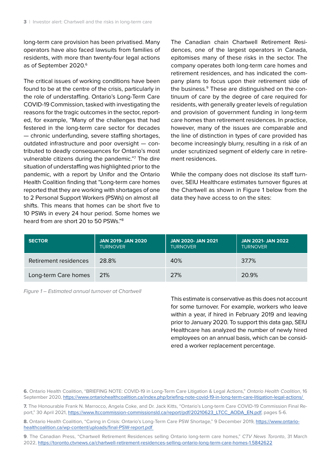long-term care provision has been privatised. Many operators have also faced lawsuits from families of residents, with more than twenty-four legal actions as of September 2020.<sup>6</sup>

The critical issues of working conditions have been found to be at the centre of the crisis, particularly in the role of understaffing. Ontario's Long-Term Care COVID-19 Commission, tasked with investigating the reasons for the tragic outcomes in the sector, reported, for example, "Many of the challenges that had festered in the long-term care sector for decades — chronic underfunding, severe staffing shortages, outdated infrastructure and poor oversight — contributed to deadly consequences for Ontario's most vulnerable citizens during the pandemic."7 The dire situation of understaffing was highlighted prior to the pandemic, with a report by Unifor and the Ontario Health Coalition finding that "Long-term care homes reported that they are working with shortages of one to 2 Personal Support Workers (PSWs) on almost all shifts. This means that homes can be short five to 10 PSWs in every 24 hour period. Some homes we heard from are short 20 to 50 PSWs."8

The Canadian chain Chartwell Retirement Residences, one of the largest operators in Canada, epitomises many of these risks in the sector. The company operates both long-term care homes and retirement residences, and has indicated the company plans to focus upon their retirement side of the business.<sup>9</sup> These are distinguished on the continuum of care by the degree of care required for residents, with generally greater levels of regulation and provision of government funding in long-term care homes than retirement residences. In practice, however, many of the issues are comparable and the line of distinction in types of care provided has become increasingly blurry, resulting in a risk of an under scrutinized segment of elderly care in retirement residences.

While the company does not disclose its staff turnover, SEIU Healthcare estimates turnover figures at the Chartwell as shown in Figure 1 below from the data they have access to on the sites:

| <b>SECTOR</b>         | <b>JAN 2019- JAN 2020</b><br><b>TURNOVER</b> | <b>JAN 2020- JAN 2021</b><br><b>TURNOVER</b> | <b>JAN 2021- JAN 2022</b><br><b>TURNOVER</b> |
|-----------------------|----------------------------------------------|----------------------------------------------|----------------------------------------------|
| Retirement residences | 28.8%                                        | 40%                                          | 37.7%                                        |
| Long-term Care homes  | <b>21%</b>                                   | 27%                                          | 20.9%                                        |

Figure 1 – Estimated annual turnover at Chartwell

This estimate is conservative as this does not account for some turnover. For example, workers who leave within a year, if hired in February 2019 and leaving prior to January 2020. To support this data gap, SEIU Healthcare has analyzed the number of newly hired employees on an annual basis, which can be considered a worker replacement percentage.

**6.** Ontario Health Coalition, "BRIEFING NOTE: COVID-19 in Long-Term Care Litigation & Legal Actions," Ontario Health Coalition, 16 September 2020, https://www.ontariohealthcoalition.ca/index.php/briefing-note-covid-19-in-long-term-care-litigation-legal-actions/

**7.** The Honourable Frank N. Marrocco, Angela Coke, and Dr. Jack Kitts, "Ontario's Long-term Care COVID-19 Commission Final Report," 30 April 2021, https://www.ltccommission-commissionsld.ca/report/pdf/20210623\_LTCC\_AODA\_EN.pdf, pages 5-6.

8. Ontario Health Coalition, "Caring in Crisis: Ontario's Long-Term Care PSW Shortage," 9 December 2019, https://www.ontariohealthcoalition.ca/wp-content/uploads/final-PSW-report.pdf

**9**. The Canadian Press, "Chartwell Retirement Residences selling Ontario long-term care homes," CTV News Toronto, 31 March 2022, https://toronto.ctvnews.ca/chartwell-retirement-residences-selling-ontario-long-term-care-homes-1.5842622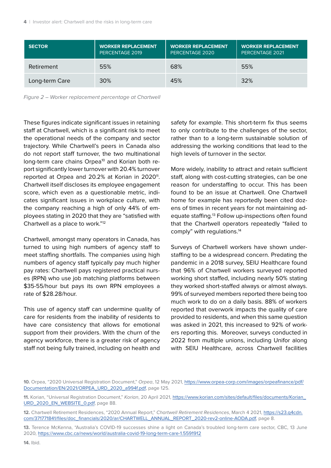| <b>SECTOR</b>  | <b>WORKER REPLACEMENT</b><br>PERCENTAGE 2019 | <b>WORKER REPLACEMENT</b><br>PERCENTAGE 2020 | <b>WORKER REPLACEMENT</b><br>PERCENTAGE 2021 |
|----------------|----------------------------------------------|----------------------------------------------|----------------------------------------------|
| Retirement     | 55%                                          | 68%                                          | 55%                                          |
| Long-term Care | 30%                                          | 45%                                          | 32%                                          |

Figure 2 – Worker replacement percentage at Chartwell

These figures indicate significant issues in retaining staff at Chartwell, which is a significant risk to meet the operational needs of the company and sector trajectory. While Chartwell's peers in Canada also do not report staff turnover, the two multinational long-term care chains Orpea<sup>10</sup> and Korian both report significantly lower turnover with 20.4% turnover reported at Orpea and 20.2% at Korian in 2020<sup>11</sup>. Chartwell itself discloses its employee engagement score, which even as a questionable metric, indicates significant issues in workplace culture, with the company reaching a high of only 44% of employees stating in 2020 that they are "satisfied with Chartwell as a place to work."12

Chartwell, amongst many operators in Canada, has turned to using high numbers of agency staff to meet staffing shortfalls. The companies using high numbers of agency staff typically pay much higher pay rates: Chartwell pays registered practical nurses (RPN) who use job matching platforms between \$35-55/hour but pays its own RPN employees a rate of \$28.28/hour.

This use of agency staff can undermine quality of care for residents from the inability of residents to have care consistency that allows for emotional support from their providers. With the churn of the agency workforce, there is a greater risk of agency staff not being fully trained, including on health and safety for example. This short-term fix thus seems to only contribute to the challenges of the sector, rather than to a long-term sustainable solution of addressing the working conditions that lead to the high levels of turnover in the sector.

More widely, inability to attract and retain sufficient staff, along with cost-cutting strategies, can be one reason for understaffing to occur. This has been found to be an issue at Chartwell. One Chartwell home for example has reportedly been cited dozens of times in recent years for not maintaining adequate staffing.<sup>13</sup> Follow up-inspections often found that the Chartwell operators repeatedly "failed to comply" with regulations.14

Surveys of Chartwell workers have shown understaffing to be a widespread concern. Predating the pandemic in a 2018 survey, SEIU Healthcare found that 96% of Chartwell workers surveyed reported working short staffed, including nearly 50% stating they worked short-staffed always or almost always. 99% of surveyed members reported there being too much work to do on a daily basis. 88% of workers reported that overwork impacts the quality of care provided to residents, and when this same question was asked in 2021, this increased to 92% of workers reporting this. Moreover, surveys conducted in 2022 from multiple unions, including Unifor along with SEIU Healthcare, across Chartwell facilities

**<sup>10.</sup>** Orpea, "2020 Universal Registration Document," Orpea, 12 May 2021, https://www.orpea-corp.com/images/orpeafinance/pdf/ Documentation/EN/2021/ORPEA\_URD\_2020\_a994f.pdf, page 125.

**<sup>11.</sup>** Korian, "Universal Registration Document," Korian, 20 April 2021, https://www.korian.com/sites/default/files/documents/Korian\_ URD\_2020\_EN\_WEBSITE\_0.pdf, page 88.

**<sup>12.</sup>** Chartwell Retirement Residences, "2020 Annual Report," Chartwell Retirement Residences, March 4 2021, https://s23.q4cdn. com/371771841/files/doc\_financials/2020/ar/CHARTWELL\_ANNUAL\_REPORT\_2020-rev2-online-AODA.pdf, page 8.

**<sup>13.</sup>** Terence McKenna, "Australia's COVID-19 successes shine a light on Canada's troubled long-term care sector, CBC, 13 June 2020, https://www.cbc.ca/news/world/australia-covid-19-long-term-care-1.5591912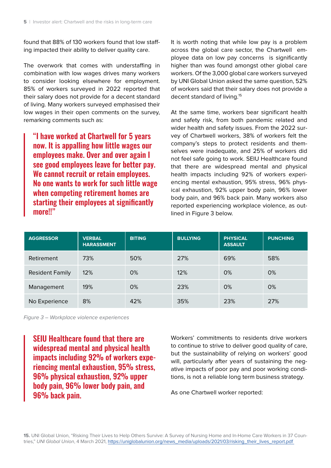found that 88% of 130 workers found that low staffing impacted their ability to deliver quality care.

The overwork that comes with understaffing in combination with low wages drives many workers to consider looking elsewhere for employment. 85% of workers surveyed in 2022 reported that their salary does not provide for a decent standard of living. Many workers surveyed emphasised their low wages in their open comments on the survey, remarking comments such as:

"I have worked at Chartwell for 5 years now. It is appalling how little wages our employees make. Over and over again I see good employees leave for better pay. We cannot recruit or retain employees. No one wants to work for such little wage when competing retirement homes are starting their employees at significantly more!!"

It is worth noting that while low pay is a problem across the global care sector, the Chartwell employee data on low pay concerns is significantly higher than was found amongst other global care workers. Of the 3,000 global care workers surveyed by UNI Global Union asked the same question, 52% of workers said that their salary does not provide a decent standard of living.15

At the same time, workers bear significant health and safety risk, from both pandemic related and wider health and safety issues. From the 2022 survey of Chartwell workers, 38% of workers felt the company's steps to protect residents and themselves were inadequate, and 25% of workers did not feel safe going to work. SEIU Healthcare found that there are widespread mental and physical health impacts including 92% of workers experiencing mental exhaustion, 95% stress, 96% physical exhaustion, 92% upper body pain, 96% lower body pain, and 96% back pain. Many workers also reported experiencing workplace violence, as outlined in Figure 3 below.

| <b>AGGRESSOR</b>       | <b>VERBAL</b><br><b>HARASSMENT</b> | <b>BITING</b> | <b>BULLYING</b> | <b>PHYSICAL</b><br><b>ASSAULT</b> | <b>PUNCHING</b> |
|------------------------|------------------------------------|---------------|-----------------|-----------------------------------|-----------------|
| Retirement             | 73%                                | 50%           | 27%             | 69%                               | 58%             |
| <b>Resident Family</b> | 12%                                | 0%            | 12%             | 0%                                | 0%              |
| Management             | 19%                                | 0%            | 23%             | 0%                                | 0%              |
| No Experience          | 8%                                 | 42%           | 35%             | 23%                               | 27%             |

Figure 3 – Workplace violence experiences

SEIU Healthcare found that there are widespread mental and physical health impacts including 92% of workers experiencing mental exhaustion, 95% stress, 96% physical exhaustion, 92% upper body pain, 96% lower body pain, and 96% back pain.

Workers' commitments to residents drive workers to continue to strive to deliver good quality of care, but the sustainability of relying on workers' good will, particularly after years of sustaining the negative impacts of poor pay and poor working conditions, is not a reliable long term business strategy.

As one Chartwell worker reported: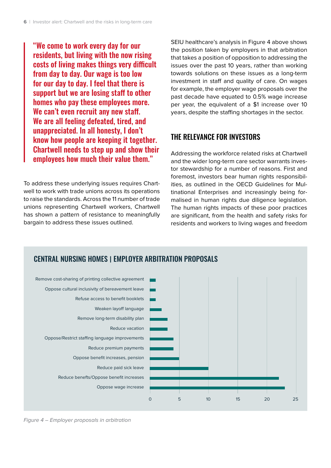"We come to work every day for our residents, but living with the now rising costs of living makes things very difficult from day to day. Our wage is too low for our day to day. I feel that there is support but we are losing staff to other homes who pay these employees more. We can't even recruit any new staff. We are all feeling defeated, tired, and unappreciated. In all honesty, I don't know how people are keeping it together. Chartwell needs to step up and show their employees how much their value them."

To address these underlying issues requires Chartwell to work with trade unions across its operations to raise the standards. Across the 11 number of trade unions representing Chartwell workers, Chartwell has shown a pattern of resistance to meaningfully bargain to address these issues outlined.

SEIU healthcare's analysis in Figure 4 above shows the position taken by employers in that arbitration that takes a position of opposition to addressing the issues over the past 10 years, rather than working towards solutions on these issues as a long-term investment in staff and quality of care. On wages for example, the employer wage proposals over the past decade have equated to 0.5% wage increase per year, the equivalent of a \$1 increase over 10 years, despite the staffing shortages in the sector.

### THE RELEVANCE FOR INVESTORS

Addressing the workforce related risks at Chartwell and the wider long-term care sector warrants investor stewardship for a number of reasons. First and foremost, investors bear human rights responsibilities, as outlined in the OECD Guidelines for Multinational Enterprises and increasingly being formalised in human rights due diligence legislation. The human rights impacts of these poor practices are significant, from the health and safety risks for residents and workers to living wages and freedom



Figure 4 – Employer proposals in arbitration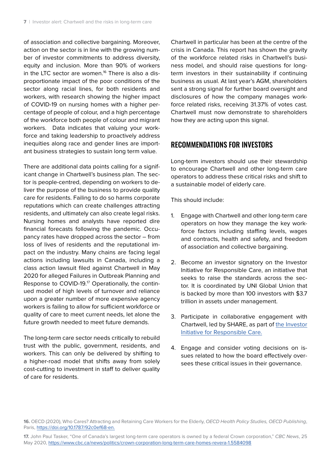of association and collective bargaining. Moreover, action on the sector is in line with the growing number of investor commitments to address diversity, equity and inclusion. More than 90% of workers in the LTC sector are women.<sup>16</sup> There is also a disproportionate impact of the poor conditions of the sector along racial lines, for both residents and workers, with research showing the higher impact of COVID-19 on nursing homes with a higher percentage of people of colour, and a high percentage of the workforce both people of colour and migrant workers. Data indicates that valuing your workforce and taking leadership to proactively address inequities along race and gender lines are important business strategies to sustain long term value.

There are additional data points calling for a significant change in Chartwell's business plan. The sector is people-centred, depending on workers to deliver the purpose of the business to provide quality care for residents. Failing to do so harms corporate reputations which can create challenges attracting residents, and ultimately can also create legal risks. Nursing homes and analysts have reported dire financial forecasts following the pandemic. Occupancy rates have dropped across the sector – from loss of lives of residents and the reputational impact on the industry. Many chains are facing legal actions including lawsuits in Canada, including a class action lawsuit filed against Chartwell in May 2020 for alleged Failures in Outbreak Planning and Response to COVID-19.<sup>17</sup> Operationally, the continued model of high levels of turnover and reliance upon a greater number of more expensive agency workers is failing to allow for sufficient workforce or quality of care to meet current needs, let alone the future growth needed to meet future demands.

The long-term care sector needs critically to rebuild trust with the public, government, residents, and workers. This can only be delivered by shifting to a higher-road model that shifts away from solely cost-cutting to investment in staff to deliver quality of care for residents.

Chartwell in particular has been at the centre of the crisis in Canada. This report has shown the gravity of the workforce related risks in Chartwell's business model, and should raise questions for longterm investors in their sustainability if continuing business as usual. At last year's AGM, shareholders sent a strong signal for further board oversight and disclosures of how the company manages workforce related risks, receiving 31.37% of votes cast. Chartwell must now demonstrate to shareholders how they are acting upon this signal.

#### RECOMMENDATIONS FOR INVESTORS

Long-term investors should use their stewardship to encourage Chartwell and other long-term care operators to address these critical risks and shift to a sustainable model of elderly care.

This should include:

- 1. Engage with Chartwell and other long-term care operators on how they manage the key workforce factors including staffing levels, wages and contracts, health and safety, and freedom of association and collective bargaining.
- 2. Become an investor signatory on the Investor Initiative for Responsible Care, an initiative that seeks to raise the standards across the sector. It is coordinated by UNI Global Union that is backed by more than 100 investors with \$3.7 trillion in assets under management.
- 3. Participate in collaborative engagement with Chartwell, led by SHARE, as part of the Investor Initiative for Responsible Care.
- 4. Engage and consider voting decisions on issues related to how the board effectively oversees these critical issues in their governance.

**16.** OECD (2020), Who Cares? Attracting and Retaining Care Workers for the Elderly, OECD Health Policy Studies, OECD Publishing, Paris, https://doi.org/10.1787/92c0ef68-en.